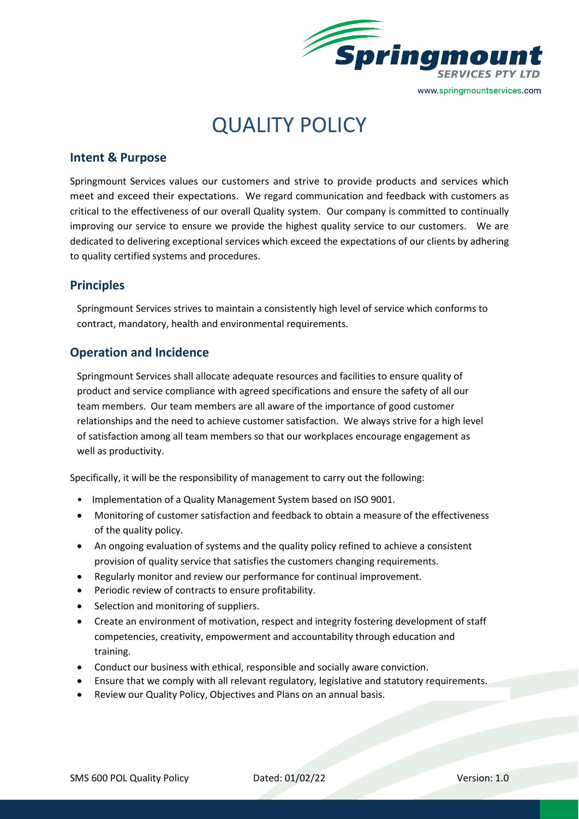

# QUALITY POLICY

### **Intent & Purpose**

Springmount Services values our customers and strive to provide products and services which meet and exceed their expectations. We regard communication and feedback with customers as critical to the effectiveness of our overall Quality system. Our company is committed to continually improving our service to ensure we provide the highest quality service to our customers. We are dedicated to delivering exceptional services which exceed the expectations of our clients by adhering to quality certified systems and procedures.

#### **Principles**

Springmount Services strives to maintain a consistently high level of service which conforms to contract, mandatory, health and environmental requirements.

#### **Operation and Incidence**

Springmount Services shall allocate adequate resources and facilities to ensure quality of product and service compliance with agreed specifications and ensure the safety of all our team members. Our team members are all aware of the importance of good customer relationships and the need to achieve customer satisfaction. We always strive for a high level of satisfaction among all team members so that our workplaces encourage engagement as well as productivity.

Specifically, it will be the responsibility of management to carry out the following:

- Implementation of a Quality Management System based on ISO 9001.
- Monitoring of customer satisfaction and feedback to obtain a measure of the effectiveness of the quality policy.
- An ongoing evaluation of systems and the quality policy refined to achieve a consistent provision of quality service that satisfies the customers changing requirements.
- Regularly monitor and review our performance for continual improvement.
- Periodic review of contracts to ensure profitability.
- Selection and monitoring of suppliers.
- Create an environment of motivation, respect and integrity fostering development of staff competencies, creativity, empowerment and accountability through education and training.
- Conduct our business with ethical, responsible and socially aware conviction.
- Ensure that we comply with all relevant regulatory, legislative and statutory requirements.
- Review our Quality Policy, Objectives and Plans on an annual basis.